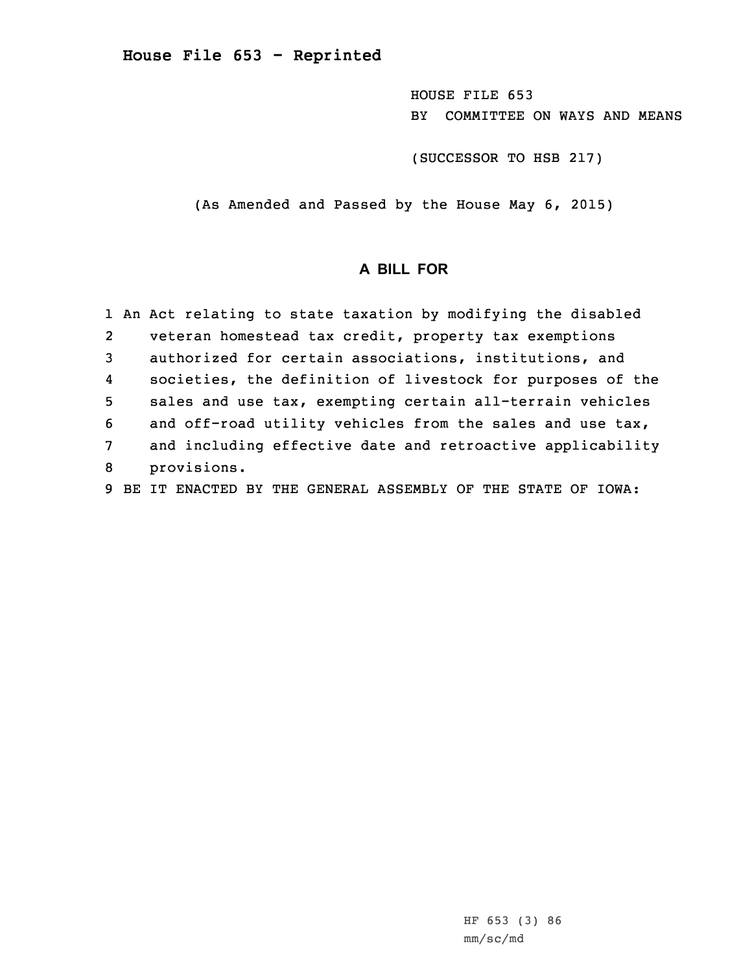**House File 653 - Reprinted**

HOUSE FILE 653 BY COMMITTEE ON WAYS AND MEANS

(SUCCESSOR TO HSB 217)

(As Amended and Passed by the House May 6, 2015)

## **A BILL FOR**

|                | 1 An Act relating to state taxation by modifying the disabled |  |
|----------------|---------------------------------------------------------------|--|
| $\overline{2}$ | veteran homestead tax credit, property tax exemptions         |  |
| $\mathbf{3}$   | authorized for certain associations, institutions, and        |  |
| 4              | societies, the definition of livestock for purposes of the    |  |
| 5              | sales and use tax, exempting certain all-terrain vehicles     |  |
| 6              | and off-road utility vehicles from the sales and use tax,     |  |
| 7              | and including effective date and retroactive applicability    |  |
| 8              | provisions.                                                   |  |
| 9              | BE IT ENACTED BY THE GENERAL ASSEMBLY OF THE STATE OF IOWA:   |  |

HF 653 (3) 86 mm/sc/md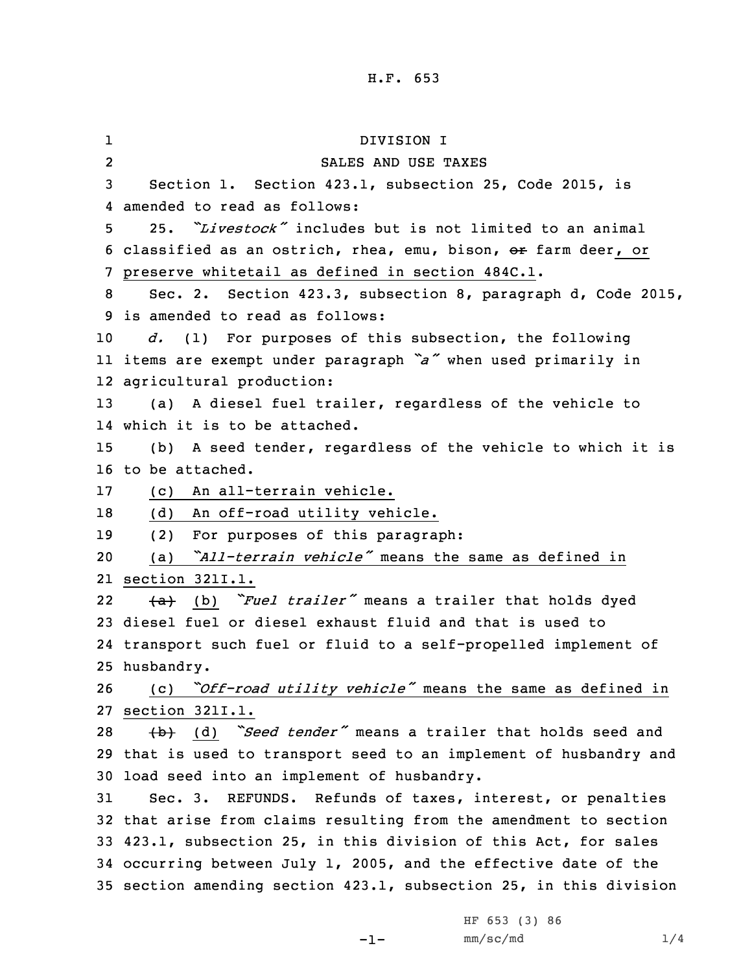1 DIVISION I 2 SALES AND USE TAXES Section 1. Section 423.1, subsection 25, Code 2015, is amended to read as follows: 25. *"Livestock"* includes but is not limited to an animal classified as an ostrich, rhea, emu, bison, or farm deer, or preserve whitetail as defined in section 484C.1. Sec. 2. Section 423.3, subsection 8, paragraph d, Code 2015, is amended to read as follows: *d.* (1) For purposes of this subsection, the following items are exempt under paragraph *"a"* when used primarily in agricultural production: (a) <sup>A</sup> diesel fuel trailer, regardless of the vehicle to which it is to be attached. (b) <sup>A</sup> seed tender, regardless of the vehicle to which it is to be attached. (c) An all-terrain vehicle. (d) An off-road utility vehicle. (2) For purposes of this paragraph: (a) *"All-terrain vehicle"* means the same as defined in section 321I.1. 22 (a) (b) *"Fuel trailer"* means <sup>a</sup> trailer that holds dyed diesel fuel or diesel exhaust fluid and that is used to transport such fuel or fluid to <sup>a</sup> self-propelled implement of husbandry. (c) *"Off-road utility vehicle"* means the same as defined in section 321I.1. (b) (d) *"Seed tender"* means <sup>a</sup> trailer that holds seed and that is used to transport seed to an implement of husbandry and load seed into an implement of husbandry. Sec. 3. REFUNDS. Refunds of taxes, interest, or penalties that arise from claims resulting from the amendment to section 423.1, subsection 25, in this division of this Act, for sales occurring between July 1, 2005, and the effective date of the section amending section 423.1, subsection 25, in this division

-1-

HF 653 (3) 86  $mm/sc/mol$  1/4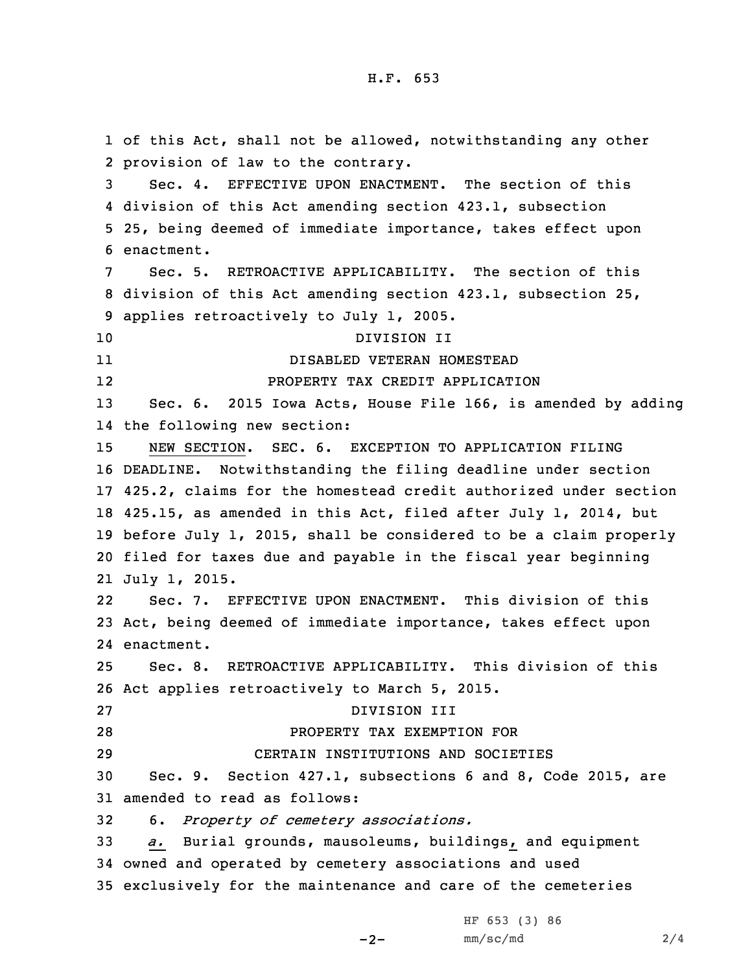of this Act, shall not be allowed, notwithstanding any other provision of law to the contrary. Sec. 4. EFFECTIVE UPON ENACTMENT. The section of this division of this Act amending section 423.1, subsection 25, being deemed of immediate importance, takes effect upon enactment. Sec. 5. RETROACTIVE APPLICABILITY. The section of this division of this Act amending section 423.1, subsection 25, applies retroactively to July 1, 2005. DIVISION II 11 DISABLED VETERAN HOMESTEAD 12 PROPERTY TAX CREDIT APPLICATION Sec. 6. 2015 Iowa Acts, House File 166, is amended by adding the following new section: NEW SECTION. SEC. 6. EXCEPTION TO APPLICATION FILING DEADLINE. Notwithstanding the filing deadline under section 425.2, claims for the homestead credit authorized under section 425.15, as amended in this Act, filed after July 1, 2014, but before July 1, 2015, shall be considered to be <sup>a</sup> claim properly filed for taxes due and payable in the fiscal year beginning July 1, 2015. 22 Sec. 7. EFFECTIVE UPON ENACTMENT. This division of this Act, being deemed of immediate importance, takes effect upon enactment. Sec. 8. RETROACTIVE APPLICABILITY. This division of this Act applies retroactively to March 5, 2015. DIVISION III PROPERTY TAX EXEMPTION FOR CERTAIN INSTITUTIONS AND SOCIETIES Sec. 9. Section 427.1, subsections 6 and 8, Code 2015, are amended to read as follows: 6. *Property of cemetery associations. a.* Burial grounds, mausoleums, buildings, and equipment owned and operated by cemetery associations and used exclusively for the maintenance and care of the cemeteries

 $-2-$ 

HF 653 (3) 86 mm/sc/md 2/4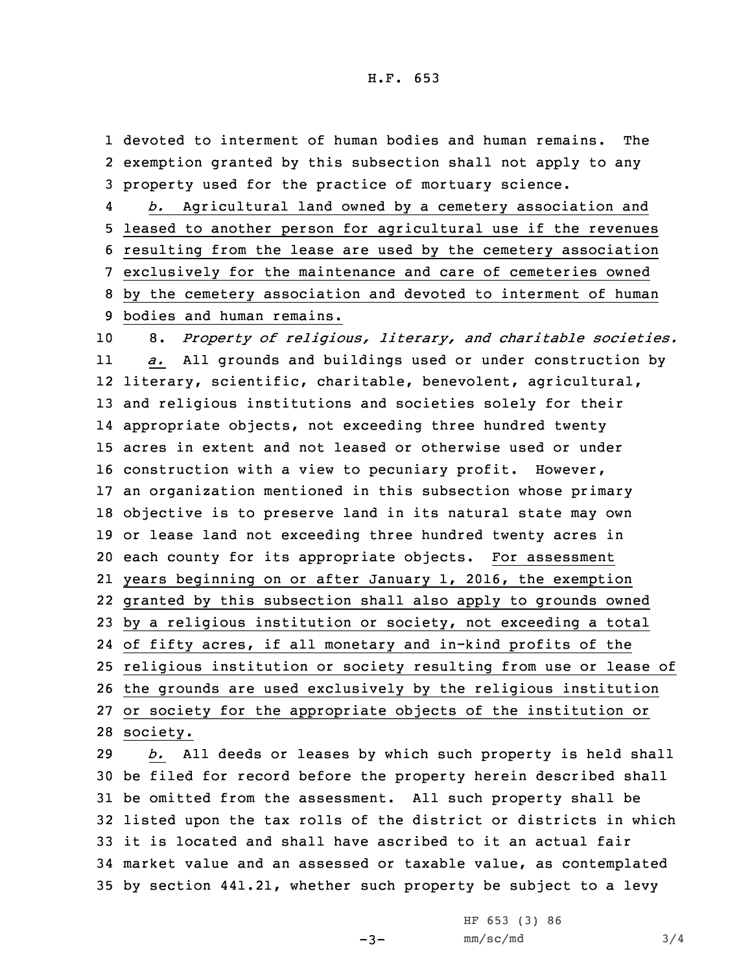1 devoted to interment of human bodies and human remains. The 2 exemption granted by this subsection shall not apply to any 3 property used for the practice of mortuary science.

4 *b.* Agricultural land owned by <sup>a</sup> cemetery association and leased to another person for agricultural use if the revenues resulting from the lease are used by the cemetery association exclusively for the maintenance and care of cemeteries owned by the cemetery association and devoted to interment of human bodies and human remains.

 8. *Property of religious, literary, and charitable societies.* 11 *a.* All grounds and buildings used or under construction by literary, scientific, charitable, benevolent, agricultural, and religious institutions and societies solely for their appropriate objects, not exceeding three hundred twenty acres in extent and not leased or otherwise used or under construction with <sup>a</sup> view to pecuniary profit. However, an organization mentioned in this subsection whose primary objective is to preserve land in its natural state may own or lease land not exceeding three hundred twenty acres in each county for its appropriate objects. For assessment years beginning on or after January 1, 2016, the exemption granted by this subsection shall also apply to grounds owned by <sup>a</sup> religious institution or society, not exceeding <sup>a</sup> total of fifty acres, if all monetary and in-kind profits of the religious institution or society resulting from use or lease of the grounds are used exclusively by the religious institution or society for the appropriate objects of the institution or 28 society.

 *b.* All deeds or leases by which such property is held shall be filed for record before the property herein described shall be omitted from the assessment. All such property shall be listed upon the tax rolls of the district or districts in which it is located and shall have ascribed to it an actual fair market value and an assessed or taxable value, as contemplated by section 441.21, whether such property be subject to <sup>a</sup> levy

 $-3-$ 

HF 653 (3) 86  $mm/sc/mol$  3/4